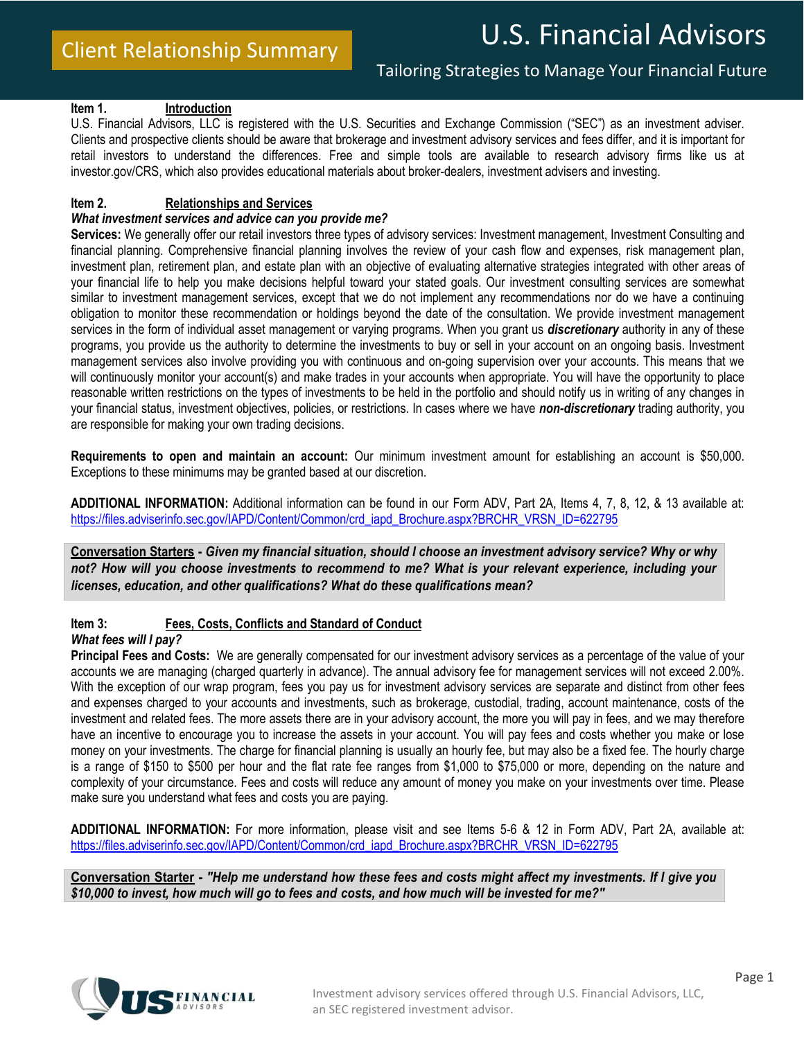# U.S. Financial Advisors

#### **Item 1. Introduction**

U.S. Financial Advisors, LLC is registered with the U.S. Securities and Exchange Commission ("SEC") as an investment adviser. Clients and prospective clients should be aware that brokerage and investment advisory services and fees differ, and it is important for retail investors to understand the differences. Free and simple tools are available to research advisory firms like us at investor.gov/CRS, which also provides educational materials about broker-dealers, investment advisers and investing.

#### **Item 2. Relationships and Services**

#### *What investment services and advice can you provide me?*

**Services:** We generally offer our retail investors three types of advisory services: Investment management, Investment Consulting and financial planning. Comprehensive financial planning involves the review of your cash flow and expenses, risk management plan, investment plan, retirement plan, and estate plan with an objective of evaluating alternative strategies integrated with other areas of your financial life to help you make decisions helpful toward your stated goals. Our investment consulting services are somewhat similar to investment management services, except that we do not implement any recommendations nor do we have a continuing obligation to monitor these recommendation or holdings beyond the date of the consultation. We provide investment management services in the form of individual asset management or varying programs. When you grant us *discretionary* authority in any of these programs, you provide us the authority to determine the investments to buy or sell in your account on an ongoing basis. Investment management services also involve providing you with continuous and on-going supervision over your accounts. This means that we will continuously monitor your account(s) and make trades in your accounts when appropriate. You will have the opportunity to place reasonable written restrictions on the types of investments to be held in the portfolio and should notify us in writing of any changes in your financial status, investment objectives, policies, or restrictions. In cases where we have *non-discretionary* trading authority, you are responsible for making your own trading decisions.

**Requirements to open and maintain an account:** Our minimum investment amount for establishing an account is \$50,000. Exceptions to these minimums may be granted based at our discretion.

**ADDITIONAL INFORMATION:** Additional information can be found in our Form ADV, Part 2A, Items 4, 7, 8, 12, & 13 available at: [https://files.adviserinfo.sec.gov/IAPD/Content/Common/crd\\_iapd\\_Brochure.aspx?BRCHR\\_VRSN\\_ID=622795](https://files.adviserinfo.sec.gov/IAPD/Content/Common/crd_iapd_Brochure.aspx?BRCHR_VRSN_ID=622795)

**Conversation Starters -** *Given my financial situation, should I choose an investment advisory service? Why or why not? How will you choose investments to recommend to me? What is your relevant experience, including your licenses, education, and other qualifications? What do these qualifications mean?*

## **Item 3: Fees, Costs, Conflicts and Standard of Conduct**

*What fees will I pay?*

**Principal Fees and Costs:** We are generally compensated for our investment advisory services as a percentage of the value of your accounts we are managing (charged quarterly in advance). The annual advisory fee for management services will not exceed 2.00%. With the exception of our wrap program, fees you pay us for investment advisory services are separate and distinct from other fees and expenses charged to your accounts and investments, such as brokerage, custodial, trading, account maintenance, costs of the investment and related fees. The more assets there are in your advisory account, the more you will pay in fees, and we may therefore have an incentive to encourage you to increase the assets in your account. You will pay fees and costs whether you make or lose money on your investments. The charge for financial planning is usually an hourly fee, but may also be a fixed fee. The hourly charge is a range of \$150 to \$500 per hour and the flat rate fee ranges from \$1,000 to \$75,000 or more, depending on the nature and complexity of your circumstance. Fees and costs will reduce any amount of money you make on your investments over time. Please make sure you understand what fees and costs you are paying.

**ADDITIONAL INFORMATION:** For more information, please visit and see Items 5-6 & 12 in Form ADV, Part 2A, available at: [https://files.adviserinfo.sec.gov/IAPD/Content/Common/crd\\_iapd\\_Brochure.aspx?BRCHR\\_VRSN\\_ID=622795](https://files.adviserinfo.sec.gov/IAPD/Content/Common/crd_iapd_Brochure.aspx?BRCHR_VRSN_ID=622795)

**Conversation Starter -** *"Help me understand how these fees and costs might affect my investments. If I give you \$10,000 to invest, how much will go to fees and costs, and how much will be invested for me?"*